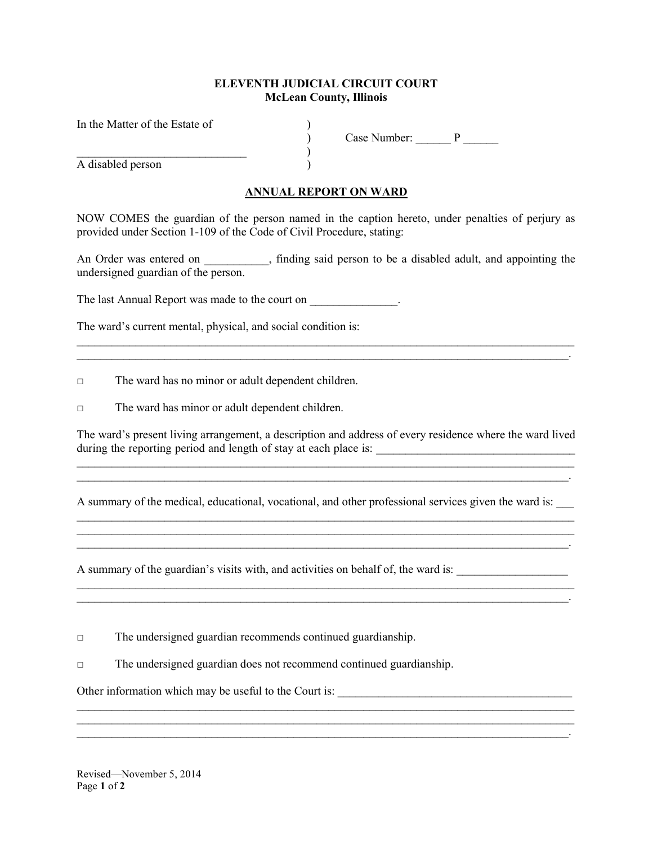## ELEVENTH JUDICIAL CIRCUIT COURT McLean County, Illinois

In the Matter of the Estate of

 $)$ A disabled person )

) Case Number: \_\_\_\_\_\_ P \_\_\_\_\_\_

\_\_\_\_\_\_\_\_\_\_\_\_\_\_\_\_\_\_\_\_\_\_\_\_\_\_\_\_\_\_\_\_\_\_\_\_\_\_\_\_\_\_\_\_\_\_\_\_\_\_\_\_\_\_\_\_\_\_\_\_\_\_\_\_\_\_\_\_\_\_\_\_\_\_\_\_\_\_\_\_\_\_\_\_\_

 $\mathcal{L}_\mathcal{L} = \mathcal{L}_\mathcal{L} = \mathcal{L}_\mathcal{L} = \mathcal{L}_\mathcal{L} = \mathcal{L}_\mathcal{L} = \mathcal{L}_\mathcal{L} = \mathcal{L}_\mathcal{L} = \mathcal{L}_\mathcal{L} = \mathcal{L}_\mathcal{L} = \mathcal{L}_\mathcal{L} = \mathcal{L}_\mathcal{L} = \mathcal{L}_\mathcal{L} = \mathcal{L}_\mathcal{L} = \mathcal{L}_\mathcal{L} = \mathcal{L}_\mathcal{L} = \mathcal{L}_\mathcal{L} = \mathcal{L}_\mathcal{L}$ 

## ANNUAL REPORT ON WARD

NOW COMES the guardian of the person named in the caption hereto, under penalties of perjury as provided under Section 1-109 of the Code of Civil Procedure, stating:

An Order was entered on  $\hspace{1cm}$ , finding said person to be a disabled adult, and appointing the undersigned guardian of the person.

 $\mathcal{L}_\mathcal{L} = \mathcal{L}_\mathcal{L} = \mathcal{L}_\mathcal{L} = \mathcal{L}_\mathcal{L} = \mathcal{L}_\mathcal{L} = \mathcal{L}_\mathcal{L} = \mathcal{L}_\mathcal{L} = \mathcal{L}_\mathcal{L} = \mathcal{L}_\mathcal{L} = \mathcal{L}_\mathcal{L} = \mathcal{L}_\mathcal{L} = \mathcal{L}_\mathcal{L} = \mathcal{L}_\mathcal{L} = \mathcal{L}_\mathcal{L} = \mathcal{L}_\mathcal{L} = \mathcal{L}_\mathcal{L} = \mathcal{L}_\mathcal{L}$ 

The last Annual Report was made to the court on  $\blacksquare$ 

The ward's current mental, physical, and social condition is:

□ The ward has no minor or adult dependent children.

□ The ward has minor or adult dependent children.

The ward's present living arrangement, a description and address of every residence where the ward lived during the reporting period and length of stay at each place is:  $\mathcal{L}_\mathcal{L} = \{ \mathcal{L}_\mathcal{L} = \{ \mathcal{L}_\mathcal{L} = \{ \mathcal{L}_\mathcal{L} = \{ \mathcal{L}_\mathcal{L} = \{ \mathcal{L}_\mathcal{L} = \{ \mathcal{L}_\mathcal{L} = \{ \mathcal{L}_\mathcal{L} = \{ \mathcal{L}_\mathcal{L} = \{ \mathcal{L}_\mathcal{L} = \{ \mathcal{L}_\mathcal{L} = \{ \mathcal{L}_\mathcal{L} = \{ \mathcal{L}_\mathcal{L} = \{ \mathcal{L}_\mathcal{L} = \{ \mathcal{L}_\mathcal{$ 

 $\mathcal{L}_\mathcal{L} = \mathcal{L}_\mathcal{L} = \mathcal{L}_\mathcal{L} = \mathcal{L}_\mathcal{L} = \mathcal{L}_\mathcal{L} = \mathcal{L}_\mathcal{L} = \mathcal{L}_\mathcal{L} = \mathcal{L}_\mathcal{L} = \mathcal{L}_\mathcal{L} = \mathcal{L}_\mathcal{L} = \mathcal{L}_\mathcal{L} = \mathcal{L}_\mathcal{L} = \mathcal{L}_\mathcal{L} = \mathcal{L}_\mathcal{L} = \mathcal{L}_\mathcal{L} = \mathcal{L}_\mathcal{L} = \mathcal{L}_\mathcal{L}$ 

A summary of the medical, educational, vocational, and other professional services given the ward is:

 $\mathcal{L}_\mathcal{L} = \mathcal{L}_\mathcal{L} = \mathcal{L}_\mathcal{L} = \mathcal{L}_\mathcal{L} = \mathcal{L}_\mathcal{L} = \mathcal{L}_\mathcal{L} = \mathcal{L}_\mathcal{L} = \mathcal{L}_\mathcal{L} = \mathcal{L}_\mathcal{L} = \mathcal{L}_\mathcal{L} = \mathcal{L}_\mathcal{L} = \mathcal{L}_\mathcal{L} = \mathcal{L}_\mathcal{L} = \mathcal{L}_\mathcal{L} = \mathcal{L}_\mathcal{L} = \mathcal{L}_\mathcal{L} = \mathcal{L}_\mathcal{L}$ 

 $\mathcal{L}_\mathcal{L} = \{ \mathcal{L}_\mathcal{L} = \{ \mathcal{L}_\mathcal{L} = \{ \mathcal{L}_\mathcal{L} = \{ \mathcal{L}_\mathcal{L} = \{ \mathcal{L}_\mathcal{L} = \{ \mathcal{L}_\mathcal{L} = \{ \mathcal{L}_\mathcal{L} = \{ \mathcal{L}_\mathcal{L} = \{ \mathcal{L}_\mathcal{L} = \{ \mathcal{L}_\mathcal{L} = \{ \mathcal{L}_\mathcal{L} = \{ \mathcal{L}_\mathcal{L} = \{ \mathcal{L}_\mathcal{L} = \{ \mathcal{L}_\mathcal{$  $\mathcal{L}_\mathcal{L} = \{ \mathcal{L}_\mathcal{L} = \{ \mathcal{L}_\mathcal{L} = \{ \mathcal{L}_\mathcal{L} = \{ \mathcal{L}_\mathcal{L} = \{ \mathcal{L}_\mathcal{L} = \{ \mathcal{L}_\mathcal{L} = \{ \mathcal{L}_\mathcal{L} = \{ \mathcal{L}_\mathcal{L} = \{ \mathcal{L}_\mathcal{L} = \{ \mathcal{L}_\mathcal{L} = \{ \mathcal{L}_\mathcal{L} = \{ \mathcal{L}_\mathcal{L} = \{ \mathcal{L}_\mathcal{L} = \{ \mathcal{L}_\mathcal{$  $\mathcal{L}_\mathcal{L} = \mathcal{L}_\mathcal{L} = \mathcal{L}_\mathcal{L} = \mathcal{L}_\mathcal{L} = \mathcal{L}_\mathcal{L} = \mathcal{L}_\mathcal{L} = \mathcal{L}_\mathcal{L} = \mathcal{L}_\mathcal{L} = \mathcal{L}_\mathcal{L} = \mathcal{L}_\mathcal{L} = \mathcal{L}_\mathcal{L} = \mathcal{L}_\mathcal{L} = \mathcal{L}_\mathcal{L} = \mathcal{L}_\mathcal{L} = \mathcal{L}_\mathcal{L} = \mathcal{L}_\mathcal{L} = \mathcal{L}_\mathcal{L}$ 

A summary of the guardian's visits with, and activities on behalf of, the ward is:

□ The undersigned guardian recommends continued guardianship.

□ The undersigned guardian does not recommend continued guardianship.

Other information which may be useful to the Court is:

Revised—November 5, 2014 Page 1 of 2